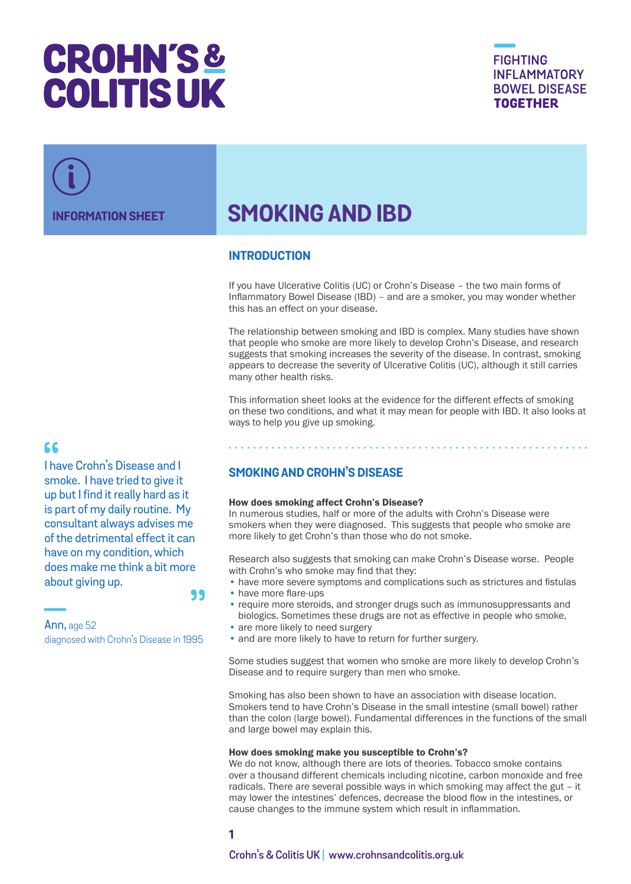# **CROHN'S& COLITIS UK**

**FIGHTING INFLAMMATORY BOWEL DISEASE TOGETHER** 

## **INFORMATION SHEET SMOKING AND IBD**

## **INTRODUCTION**

If you have Ulcerative Colitis (UC) or Crohn's Disease – the two main forms of Inflammatory Bowel Disease (IBD) – and are a smoker, you may wonder whether this has an effect on your disease.

The relationship between smoking and IBD is complex. Many studies have shown that people who smoke are more likely to develop Crohn's Disease, and research suggests that smoking increases the severity of the disease. In contrast, smoking appears to decrease the severity of Ulcerative Colitis (UC), although it still carries many other health risks.

This information sheet looks at the evidence for the different effects of smoking on these two conditions, and what it may mean for people with IBD. It also looks at ways to help you give up smoking.

## 66

I have Crohn's Disease and I smoke. I have tried to give it up but I find it really hard as it is part of my daily routine. My consultant always advises me of the detrimental effect it can have on my condition, which does make me think a bit more about giving up. 99

Ann, age 52 diagnosed with Crohn's Disease in 1995

## **SMOKING AND CROHN'S DISEASE**

#### How does smoking affect Crohn's Disease?

In numerous studies, half or more of the adults with Crohn's Disease were smokers when they were diagnosed. This suggests that people who smoke are more likely to get Crohn's than those who do not smoke.

Research also suggests that smoking can make Crohn's Disease worse. People with Crohn's who smoke may find that they:

- have more severe symptoms and complications such as strictures and fistulas
- have more flare-ups
- require more steroids, and stronger drugs such as immunosuppressants and biologics. Sometimes these drugs are not as effective in people who smoke,
- are more likely to need surgery
- and are more likely to have to return for further surgery.

Some studies suggest that women who smoke are more likely to develop Crohn's Disease and to require surgery than men who smoke.

Smoking has also been shown to have an association with disease location. Smokers tend to have Crohn's Disease in the small intestine (small bowel) rather than the colon (large bowel). Fundamental differences in the functions of the small and large bowel may explain this.

#### How does smoking make you susceptible to Crohn's?

We do not know, although there are lots of theories. Tobacco smoke contains over a thousand different chemicals including nicotine, carbon monoxide and free radicals. There are several possible ways in which smoking may affect the gut – it may lower the intestines' defences, decrease the blood flow in the intestines, or cause changes to the immune system which result in inflammation.

## **1**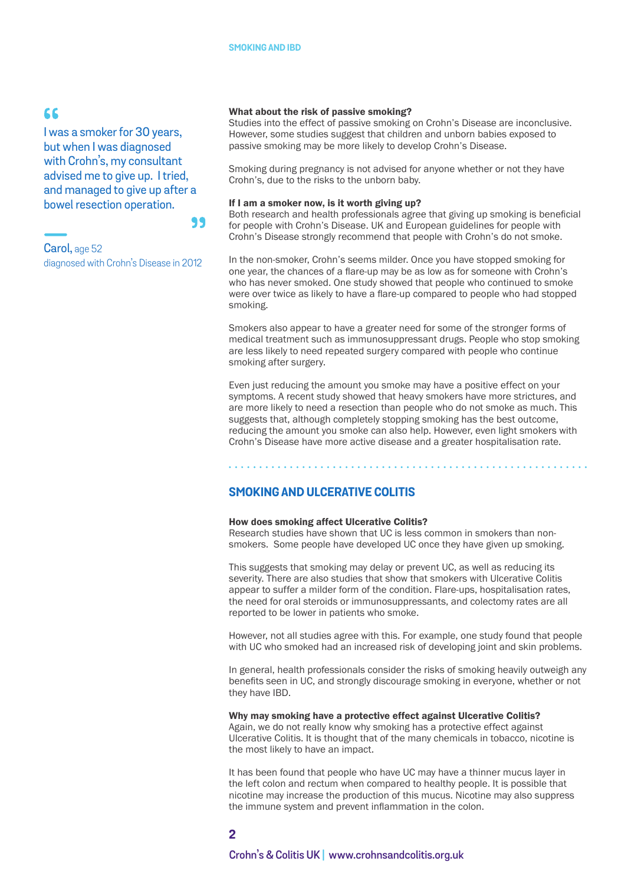## 66

I was a smoker for 30 years, but when I was diagnosed with Crohn's, my consultant advised me to give up. I tried, and managed to give up after a bowel resection operation.

99

Carol, age 52 diagnosed with Crohn's Disease in 2012

#### What about the risk of passive smoking?

Studies into the effect of passive smoking on Crohn's Disease are inconclusive. However, some studies suggest that children and unborn babies exposed to passive smoking may be more likely to develop Crohn's Disease.

Smoking during pregnancy is not advised for anyone whether or not they have Crohn's, due to the risks to the unborn baby.

#### If I am a smoker now, is it worth giving up?

Both research and health professionals agree that giving up smoking is beneficial for people with Crohn's Disease. UK and European guidelines for people with Crohn's Disease strongly recommend that people with Crohn's do not smoke.

In the non-smoker, Crohn's seems milder. Once you have stopped smoking for one year, the chances of a flare-up may be as low as for someone with Crohn's who has never smoked. One study showed that people who continued to smoke were over twice as likely to have a flare-up compared to people who had stopped smoking.

Smokers also appear to have a greater need for some of the stronger forms of medical treatment such as immunosuppressant drugs. People who stop smoking are less likely to need repeated surgery compared with people who continue smoking after surgery.

Even just reducing the amount you smoke may have a positive effect on your symptoms. A recent study showed that heavy smokers have more strictures, and are more likely to need a resection than people who do not smoke as much. This suggests that, although completely stopping smoking has the best outcome, reducing the amount you smoke can also help. However, even light smokers with Crohn's Disease have more active disease and a greater hospitalisation rate.

## **SMOKING AND ULCERATIVE COLITIS**

#### How does smoking affect Ulcerative Colitis?

Research studies have shown that UC is less common in smokers than nonsmokers. Some people have developed UC once they have given up smoking.

This suggests that smoking may delay or prevent UC, as well as reducing its severity. There are also studies that show that smokers with Ulcerative Colitis appear to suffer a milder form of the condition. Flare-ups, hospitalisation rates, the need for oral steroids or immunosuppressants, and colectomy rates are all reported to be lower in patients who smoke.

However, not all studies agree with this. For example, one study found that people with UC who smoked had an increased risk of developing joint and skin problems.

In general, health professionals consider the risks of smoking heavily outweigh any benefits seen in UC, and strongly discourage smoking in everyone, whether or not they have IBD.

#### Why may smoking have a protective effect against Ulcerative Colitis?

Again, we do not really know why smoking has a protective effect against Ulcerative Colitis. It is thought that of the many chemicals in tobacco, nicotine is the most likely to have an impact.

It has been found that people who have UC may have a thinner mucus layer in the left colon and rectum when compared to healthy people. It is possible that nicotine may increase the production of this mucus. Nicotine may also suppress the immune system and prevent inflammation in the colon.

#### **2**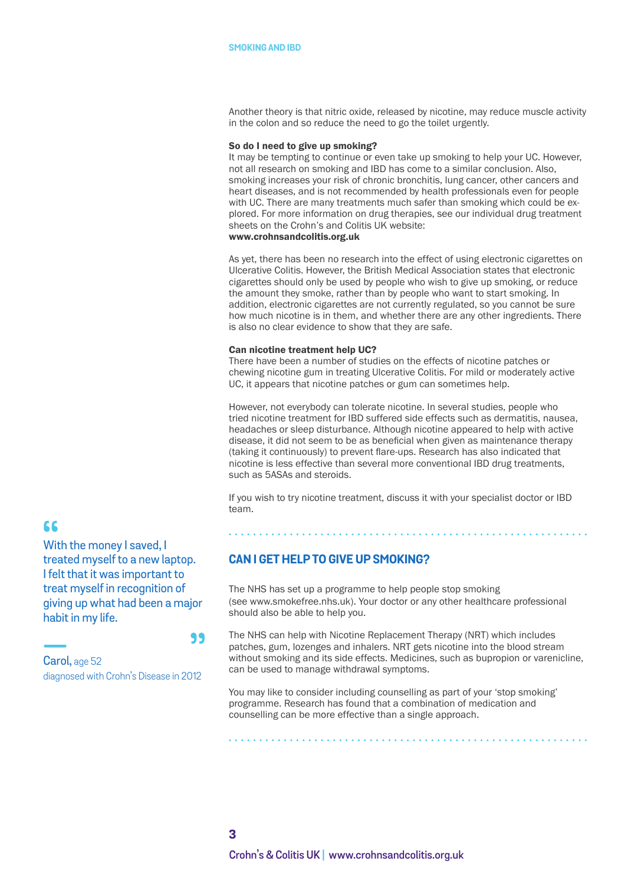Another theory is that nitric oxide, released by nicotine, may reduce muscle activity in the colon and so reduce the need to go the toilet urgently.

#### So do I need to give up smoking?

It may be tempting to continue or even take up smoking to help your UC. However, not all research on smoking and IBD has come to a similar conclusion. Also, smoking increases your risk of chronic bronchitis, lung cancer, other cancers and heart diseases, and is not recommended by health professionals even for people with UC. There are many treatments much safer than smoking which could be explored. For more information on drug therapies, see our individual drug treatment sheets on the Crohn's and Colitis UK website: <www.crohnsandcolitis.org.uk>

As yet, there has been no research into the effect of using electronic cigarettes on Ulcerative Colitis. However, the British Medical Association states that electronic cigarettes should only be used by people who wish to give up smoking, or reduce the amount they smoke, rather than by people who want to start smoking. In addition, electronic cigarettes are not currently regulated, so you cannot be sure how much nicotine is in them, and whether there are any other ingredients. There is also no clear evidence to show that they are safe.

#### Can nicotine treatment help UC?

There have been a number of studies on the effects of nicotine patches or chewing nicotine gum in treating Ulcerative Colitis. For mild or moderately active UC, it appears that nicotine patches or gum can sometimes help.

However, not everybody can tolerate nicotine. In several studies, people who tried nicotine treatment for IBD suffered side effects such as dermatitis, nausea, headaches or sleep disturbance. Although nicotine appeared to help with active disease, it did not seem to be as beneficial when given as maintenance therapy (taking it continuously) to prevent flare-ups. Research has also indicated that nicotine is less effective than several more conventional IBD drug treatments, such as 5ASAs and steroids.

If you wish to try nicotine treatment, discuss it with your specialist doctor or IBD team.

## **CAN I GET HELP TO GIVE UP SMOKING?**

The NHS has set up a programme to help people stop smoking (see [www.smokefree.nhs.uk](http://www.smokefree.nhs.uk)). Your doctor or any other healthcare professional should also be able to help you.

The NHS can help with Nicotine Replacement Therapy (NRT) which includes patches, gum, lozenges and inhalers. NRT gets nicotine into the blood stream without smoking and its side effects. Medicines, such as bupropion or varenicline, can be used to manage withdrawal symptoms.

You may like to consider including counselling as part of your 'stop smoking' programme. Research has found that a combination of medication and counselling can be more effective than a single approach.

## 66

With the money I saved, I treated myself to a new laptop. I felt that it was important to treat myself in recognition of giving up what had been a major habit in my life.

#### 99

Carol, age 52 diagnosed with Crohn's Disease in 2012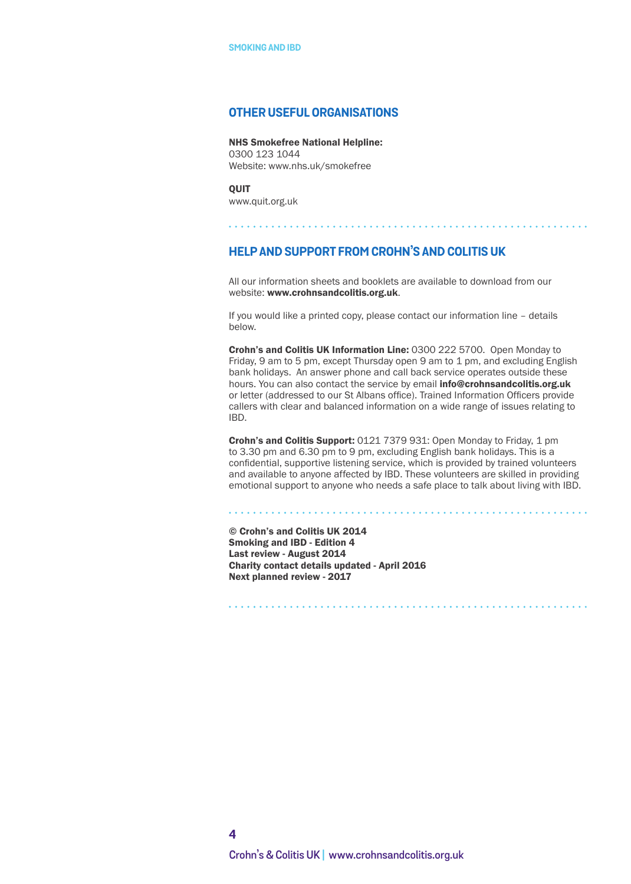#### **OTHER USEFUL ORGANISATIONS**

NHS Smokefree National Helpline: 0300 123 1044 Website: [www.nhs.uk/smokefree](http://www.nhs.uk/smokefree)

**OUIT** [www.quit.org.uk](http://www.quit.org.uk)

## **HELP AND SUPPORT FROM CROHN'S AND COLITIS UK**

All our information sheets and booklets are available to download from our website: www.crohnsandcolitis.org.uk.

If you would like a printed copy, please contact our information line – details below.

Crohn's and Colitis UK Information Line: 0300 222 5700. Open Monday to Friday, 9 am to 5 pm, except Thursday open 9 am to 1 pm, and excluding English bank holidays. An answer phone and call back service operates outside these hours. You can also contact the service by email info@crohnsandcolitis.org.uk or letter (addressed to our St Albans office). Trained Information Officers provide callers with clear and balanced information on a wide range of issues relating to IBD.

Crohn's and Colitis Support: 0121 7379 931: Open Monday to Friday, 1 pm to 3.30 pm and 6.30 pm to 9 pm, excluding English bank holidays. This is a confidential, supportive listening service, which is provided by trained volunteers and available to anyone affected by IBD. These volunteers are skilled in providing emotional support to anyone who needs a safe place to talk about living with IBD.

© Crohn's and Colitis UK 2014 Smoking and IBD - Edition 4 Last review - August 2014 Charity contact details updated - April 2016 Next planned review - 2017